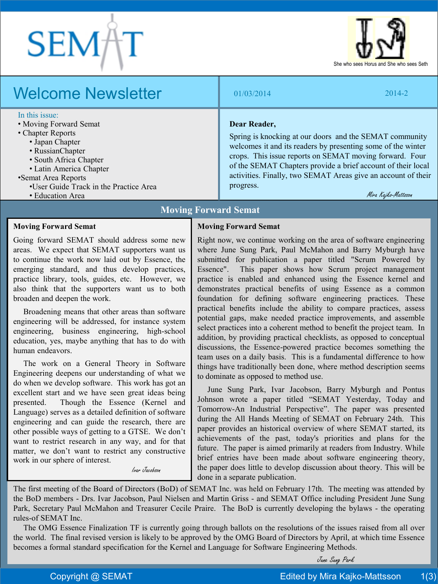# **SEM**<sup>#</sup>



# Welcome Newsletter **Newsletter Newsletter Newsletter**

#### In this issue:

- Moving Forward Semat
- Chapter Reports
	- Japan Chapter
		- RussianChapter
		- South Africa Chapter
		- Latin America Chapter

•Semat Area Reports

- •User Guide Track in the Practice Area
- Education Area

**Moving Forward Semat**

2014-2

#### **Dear Reader,**

Spring is knocking at our doors and the SEMAT community welcomes it and its readers by presenting some of the winter crops. This issue reports on SEMAT moving forward. Four of the SEMAT Chapters provide a brief account of their local activities. Finally, two SEMAT Areas give an account of their progress.

Mira Kajko-Mattsson

#### **Moving Forward Semat**

#### **Moving Forward Semat**

Going forward SEMAT should address some new areas. We expect that SEMAT supporters want us to continue the work now laid out by Essence, the emerging standard, and thus develop practices, practice library, tools, guides, etc. However, we also think that the supporters want us to both broaden and deepen the work.

 Broadening means that other areas than software engineering will be addressed, for instance system engineering, business engineering, high-school education, yes, maybe anything that has to do with human endeavors.

 The work on a General Theory in Software Engineering deepens our understanding of what we do when we develop software. This work has got an excellent start and we have seen great ideas being presented. Though the Essence (Kernel and Language) serves as a detailed definition of software engineering and can guide the research, there are other possible ways of getting to a GTSE. We don't want to restrict research in any way, and for that matter, we don't want to restrict any constructive work in our sphere of interest.

Ivar Jacobson

#### Right now, we continue working on the area of software engineering where June Sung Park, Paul McMahon and Barry Myburgh have submitted for publication a paper titled "Scrum Powered by Essence". This paper shows how Scrum project management practice is enabled and enhanced using the Essence kernel and demonstrates practical benefits of using Essence as a common foundation for defining software engineering practices. These practical benefits include the ability to compare practices, assess potential gaps, make needed practice improvements, and assemble select practices into a coherent method to benefit the project team. In addition, by providing practical checklists, as opposed to conceptual discussions, the Essence-powered practice becomes something the team uses on a daily basis. This is a fundamental difference to how things have traditionally been done, where method description seems to dominate as opposed to method use.

 June Sung Park, Ivar Jacobson, Barry Myburgh and Pontus Johnson wrote a paper titled "SEMAT Yesterday, Today and Tomorrow-An Industrial Perspective". The paper was presented during the All Hands Meeting of SEMAT on February 24th. This paper provides an historical overview of where SEMAT started, its achievements of the past, today's priorities and plans for the future. The paper is aimed primarily at readers from Industry. While brief entries have been made about software engineering theory, the paper does little to develop discussion about theory. This will be done in a separate publication.

The first meeting of the Board of Directors (BoD) of SEMAT Inc. was held on February 17th. The meeting was attended by the Hist meeting of the Board of Breetors (BoB) of SEMAT file. was need on February 17th. The meeting was attended by<br>the BoD members - Drs. Ivar Jacobson, Paul Nielsen and Martin Griss - and SEMAT Office including Preside Park, Secretary Paul McMahon and Treasurer Cecile Praire. The BoD is currently developing the bylaws - the operating rules-of SEMAT Inc. rules-of SEMAT Inc.

The OMG Essence Finalization TF is currently going through ballots on the resolutions of the issues raised from all over the world. The final revised version is likely to be approved by the OMG Board of Directors by April, at which time Essence becomes a formal standard specification for the Kernel and Language for Software Engineering Methods. becomes a formal standard specification for the Kernel and Language for Software Engineering Methods.

June Sung Park June Sung Park

Copyright @ SEMAT **Edited by Mira Kajko-Mattsson** 1(3)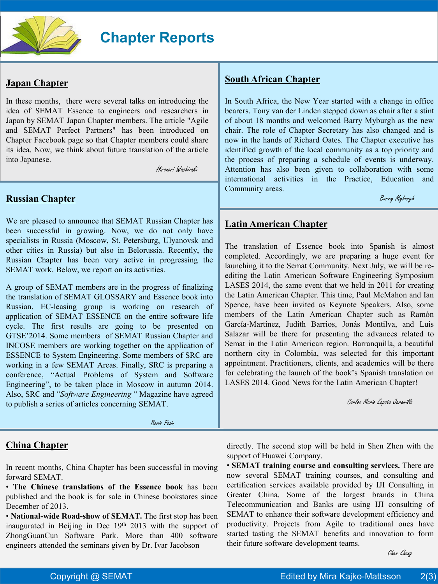

### **Japan Chapter**

In these months, there were several talks on introducing the idea of SEMAT Essence to engineers and researchers in Japan by SEMAT Japan Chapter members. The article "Agile and SEMAT Perfect Partners" has been introduced on Chapter Facebook page so that Chapter members could share its idea. Now, we think about future translation of the article into Japanese.

Hironori Washizaki

#### **Russian Chapter**

We are pleased to announce that SEMAT Russian Chapter has been successful in growing. Now, we do not only have specialists in Russia (Moscow, St. Petersburg, Ulyanovsk and other cities in Russia) but also in Belorussia. Recently, the Russian Chapter has been very active in progressing the SEMAT work. Below, we report on its activities.

A group of SEMAT members are in the progress of finalizing the translation of SEMAT GLOSSARY and Essence book into Russian. EC-leasing group is working on research of application of SEMAT ESSENCE on the entire software life cycle. The first results are going to be presented on GTSE'2014. Some members of SEMAT Russian Chapter and INCOSE members are working together on the application of ESSENCE to System Engineering. Some members of SRC are working in a few SEMAT Areas. Finally, SRC is preparing a conference, "Actual Problems of System and Software Engineering", to be taken place in Moscow in autumn 2014. Also, SRC and "*Software Engineering* " Magazine have agreed to publish a series of articles concerning SEMAT.

Boris Pozin

#### **China Chapter**

Ï

In recent months, China Chapter has been successful in moving forward SEMAT.

• **The Chinese translations of the Essence book** has been published and the book is for sale in Chinese bookstores since December of 2013.

• **National-wide Road-show of SEMAT.** The first stop has been inaugurated in Beijing in Dec 19th 2013 with the support of ZhongGuanCun Software Park. More than 400 software engineers attended the seminars given by Dr. Ivar Jacobson

#### **South African Chapter**

In South Africa, the New Year started with a change in office bearers. Tony van der Linden stepped down as chair after a stint of about 18 months and welcomed Barry Myburgh as the new chair. The role of Chapter Secretary has also changed and is now in the hands of Richard Oates. The Chapter executive has identified growth of the local community as a top priority and the process of preparing a schedule of events is underway. Attention has also been given to collaboration with some international activities in the Practice, Education and Community areas.

Barry Myburgh

#### **Latin American Chapter**

The translation of Essence book into Spanish is almost completed. Accordingly, we are preparing a huge event for launching it to the Semat Community. Next July, we will be reediting the Latin American Software Engineering Symposium LASES 2014, the same event that we held in 2011 for creating the Latin American Chapter. This time, Paul McMahon and Ian Spence, have been invited as Keynote Speakers. Also, some members of the Latin American Chapter such as Ramón García-Martínez, Judith Barrios, Jonás Montilva, and Luis Salazar will be there for presenting the advances related to Semat in the Latin American region. Barranquilla, a beautiful northern city in Colombia, was selected for this important appointment. Practitioners, clients, and academics will be there for celebrating the launch of the book's Spanish translation on LASES 2014. Good News for the Latin American Chapter!

Carlos Mario Zapata Jaramillo

directly. The second stop will be held in Shen Zhen with the support of Huawei Company.

• **SEMAT training course and consulting services.** There are now several SEMAT training courses, and consulting and certification services available provided by IJI Consulting in Greater China. Some of the largest brands in China Telecommunication and Banks are using IJI consulting of SEMAT to enhance their software development efficiency and productivity. Projects from Agile to traditional ones have started tasting the SEMAT benefits and innovation to form their future software development teams.

Chen Zhong